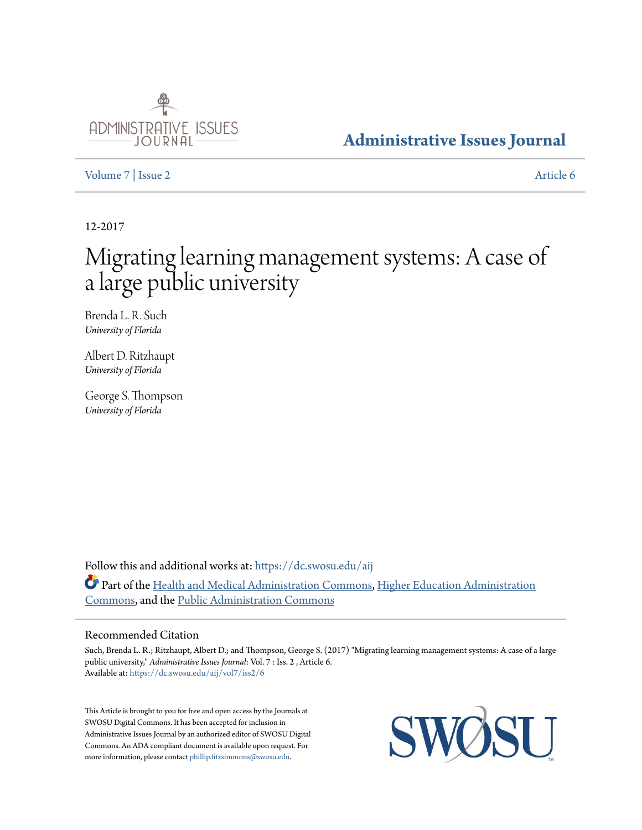

# **[Administrative Issues Journal](https://dc.swosu.edu/aij?utm_source=dc.swosu.edu%2Faij%2Fvol7%2Fiss2%2F6&utm_medium=PDF&utm_campaign=PDFCoverPages)**

[Volume 7](https://dc.swosu.edu/aij/vol7?utm_source=dc.swosu.edu%2Faij%2Fvol7%2Fiss2%2F6&utm_medium=PDF&utm_campaign=PDFCoverPages) | [Issue 2](https://dc.swosu.edu/aij/vol7/iss2?utm_source=dc.swosu.edu%2Faij%2Fvol7%2Fiss2%2F6&utm_medium=PDF&utm_campaign=PDFCoverPages) [Article 6](https://dc.swosu.edu/aij/vol7/iss2/6?utm_source=dc.swosu.edu%2Faij%2Fvol7%2Fiss2%2F6&utm_medium=PDF&utm_campaign=PDFCoverPages)

12-2017

# Migrating learning management systems: A case of a large public university

Brenda L. R. Such *University of Florida*

Albert D. Ritzhaupt *University of Florida*

George S. Thompson *University of Florida*

Follow this and additional works at: [https://dc.swosu.edu/aij](https://dc.swosu.edu/aij?utm_source=dc.swosu.edu%2Faij%2Fvol7%2Fiss2%2F6&utm_medium=PDF&utm_campaign=PDFCoverPages) Part of the [Health and Medical Administration Commons](http://network.bepress.com/hgg/discipline/663?utm_source=dc.swosu.edu%2Faij%2Fvol7%2Fiss2%2F6&utm_medium=PDF&utm_campaign=PDFCoverPages), [Higher Education Administration](http://network.bepress.com/hgg/discipline/791?utm_source=dc.swosu.edu%2Faij%2Fvol7%2Fiss2%2F6&utm_medium=PDF&utm_campaign=PDFCoverPages) [Commons,](http://network.bepress.com/hgg/discipline/791?utm_source=dc.swosu.edu%2Faij%2Fvol7%2Fiss2%2F6&utm_medium=PDF&utm_campaign=PDFCoverPages) and the [Public Administration Commons](http://network.bepress.com/hgg/discipline/398?utm_source=dc.swosu.edu%2Faij%2Fvol7%2Fiss2%2F6&utm_medium=PDF&utm_campaign=PDFCoverPages)

# Recommended Citation

Such, Brenda L. R.; Ritzhaupt, Albert D.; and Thompson, George S. (2017) "Migrating learning management systems: A case of a large public university," *Administrative Issues Journal*: Vol. 7 : Iss. 2 , Article 6. Available at: [https://dc.swosu.edu/aij/vol7/iss2/6](https://dc.swosu.edu/aij/vol7/iss2/6?utm_source=dc.swosu.edu%2Faij%2Fvol7%2Fiss2%2F6&utm_medium=PDF&utm_campaign=PDFCoverPages)

This Article is brought to you for free and open access by the Journals at SWOSU Digital Commons. It has been accepted for inclusion in Administrative Issues Journal by an authorized editor of SWOSU Digital Commons. An ADA compliant document is available upon request. For more information, please contact [phillip.fitzsimmons@swosu.edu](mailto:phillip.fitzsimmons@swosu.edu).

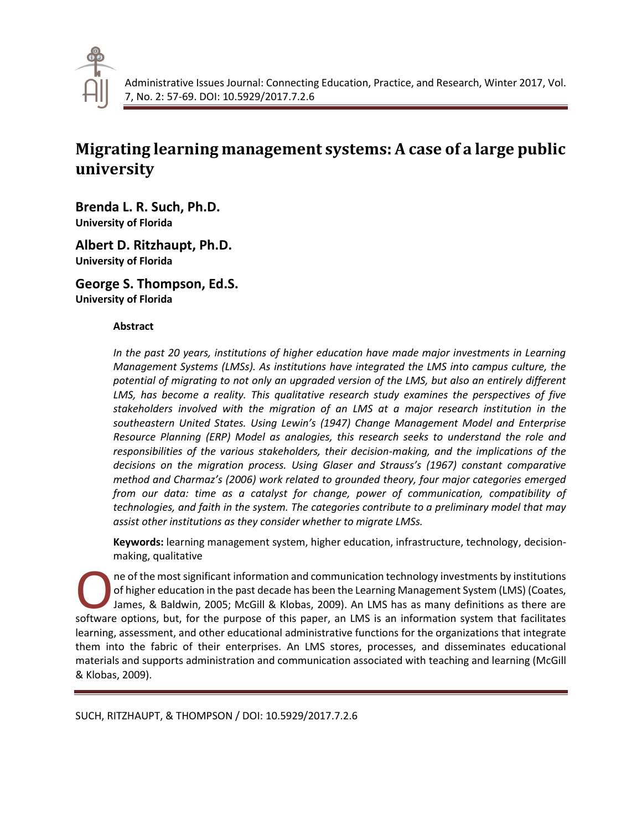

# **Migrating learning management systems: A case of a large public university**

**Brenda L. R. Such, Ph.D. University of Florida**

**Albert D. Ritzhaupt, Ph.D. University of Florida**

**George S. Thompson, Ed.S. University of Florida**

# **Abstract**

*In the past 20 years, institutions of higher education have made major investments in Learning Management Systems (LMSs). As institutions have integrated the LMS into campus culture, the potential of migrating to not only an upgraded version of the LMS, but also an entirely different LMS, has become a reality. This qualitative research study examines the perspectives of five stakeholders involved with the migration of an LMS at a major research institution in the southeastern United States. Using Lewin's (1947) Change Management Model and Enterprise Resource Planning (ERP) Model as analogies, this research seeks to understand the role and responsibilities of the various stakeholders, their decision-making, and the implications of the decisions on the migration process. Using Glaser and Strauss's (1967) constant comparative method and Charmaz's (2006) work related to grounded theory, four major categories emerged from our data: time as a catalyst for change, power of communication, compatibility of technologies, and faith in the system. The categories contribute to a preliminary model that may assist other institutions as they consider whether to migrate LMSs.*

**Keywords:** learning management system, higher education, infrastructure, technology, decisionmaking, qualitative

ne of the most significant information and communication technology investments by institutions of higher education in the past decade has been the Learning Management System (LMS) (Coates, James, & Baldwin, 2005; McGill & Klobas, 2009). An LMS has as many definitions as there are soft higher education in the past decade has been the Learning Management System (LMS) (Coates, James, & Baldwin, 2005; McGill & Klobas, 2009). An LMS has as many definitions as there are software options, but, for the pur learning, assessment, and other educational administrative functions for the organizations that integrate them into the fabric of their enterprises. An LMS stores, processes, and disseminates educational materials and supports administration and communication associated with teaching and learning (McGill & Klobas, 2009).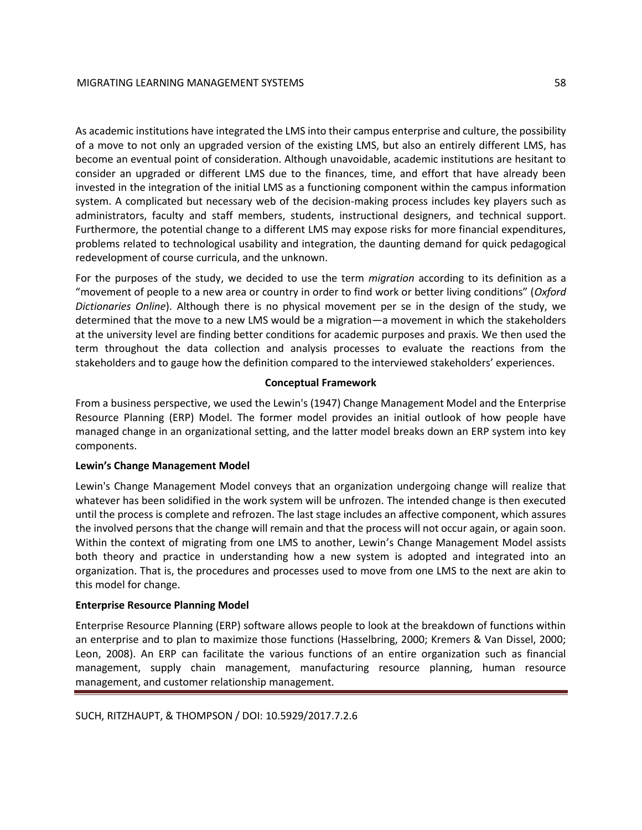As academic institutions have integrated the LMS into their campus enterprise and culture, the possibility of a move to not only an upgraded version of the existing LMS, but also an entirely different LMS, has become an eventual point of consideration. Although unavoidable, academic institutions are hesitant to consider an upgraded or different LMS due to the finances, time, and effort that have already been invested in the integration of the initial LMS as a functioning component within the campus information system. A complicated but necessary web of the decision-making process includes key players such as administrators, faculty and staff members, students, instructional designers, and technical support. Furthermore, the potential change to a different LMS may expose risks for more financial expenditures, problems related to technological usability and integration, the daunting demand for quick pedagogical redevelopment of course curricula, and the unknown.

For the purposes of the study, we decided to use the term *migration* according to its definition as a "movement of people to a new area or country in order to find work or better living conditions" (*Oxford Dictionaries Online*). Although there is no physical movement per se in the design of the study, we determined that the move to a new LMS would be a migration—a movement in which the stakeholders at the university level are finding better conditions for academic purposes and praxis. We then used the term throughout the data collection and analysis processes to evaluate the reactions from the stakeholders and to gauge how the definition compared to the interviewed stakeholders' experiences.

# **Conceptual Framework**

From a business perspective, we used the Lewin's (1947) Change Management Model and the Enterprise Resource Planning (ERP) Model. The former model provides an initial outlook of how people have managed change in an organizational setting, and the latter model breaks down an ERP system into key components.

# **Lewin's Change Management Model**

Lewin's Change Management Model conveys that an organization undergoing change will realize that whatever has been solidified in the work system will be unfrozen. The intended change is then executed until the process is complete and refrozen. The last stage includes an affective component, which assures the involved persons that the change will remain and that the process will not occur again, or again soon. Within the context of migrating from one LMS to another, Lewin's Change Management Model assists both theory and practice in understanding how a new system is adopted and integrated into an organization. That is, the procedures and processes used to move from one LMS to the next are akin to this model for change.

# **Enterprise Resource Planning Model**

Enterprise Resource Planning (ERP) software allows people to look at the breakdown of functions within an enterprise and to plan to maximize those functions (Hasselbring, 2000; Kremers & Van Dissel, 2000; Leon, 2008). An ERP can facilitate the various functions of an entire organization such as financial management, supply chain management, manufacturing resource planning, human resource management, and customer relationship management.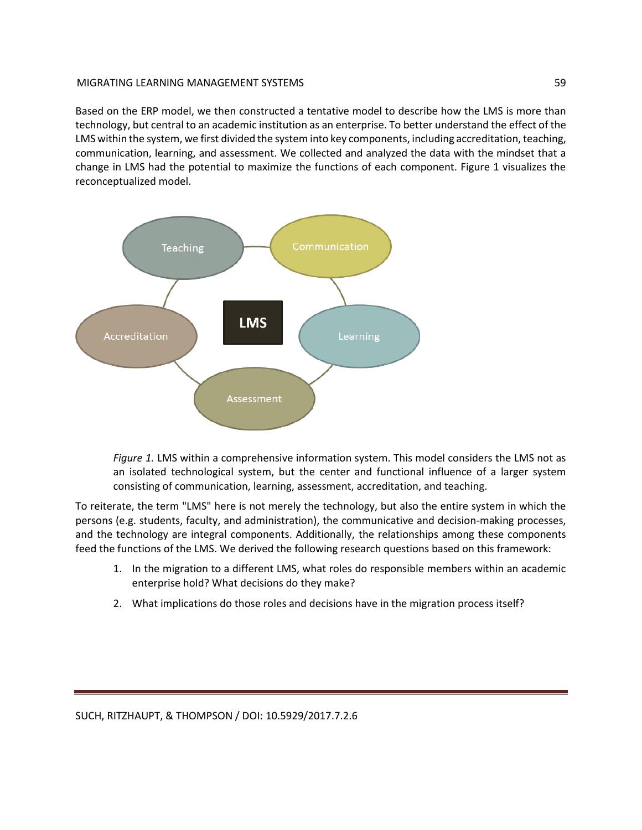Based on the ERP model, we then constructed a tentative model to describe how the LMS is more than technology, but central to an academic institution as an enterprise. To better understand the effect of the LMS within the system, we first divided the system into key components, including accreditation, teaching, communication, learning, and assessment. We collected and analyzed the data with the mindset that a change in LMS had the potential to maximize the functions of each component. Figure 1 visualizes the reconceptualized model.



*Figure 1.* LMS within a comprehensive information system. This model considers the LMS not as an isolated technological system, but the center and functional influence of a larger system consisting of communication, learning, assessment, accreditation, and teaching.

To reiterate, the term "LMS" here is not merely the technology, but also the entire system in which the persons (e.g. students, faculty, and administration), the communicative and decision-making processes, and the technology are integral components. Additionally, the relationships among these components feed the functions of the LMS. We derived the following research questions based on this framework:

- 1. In the migration to a different LMS, what roles do responsible members within an academic enterprise hold? What decisions do they make?
- 2. What implications do those roles and decisions have in the migration process itself?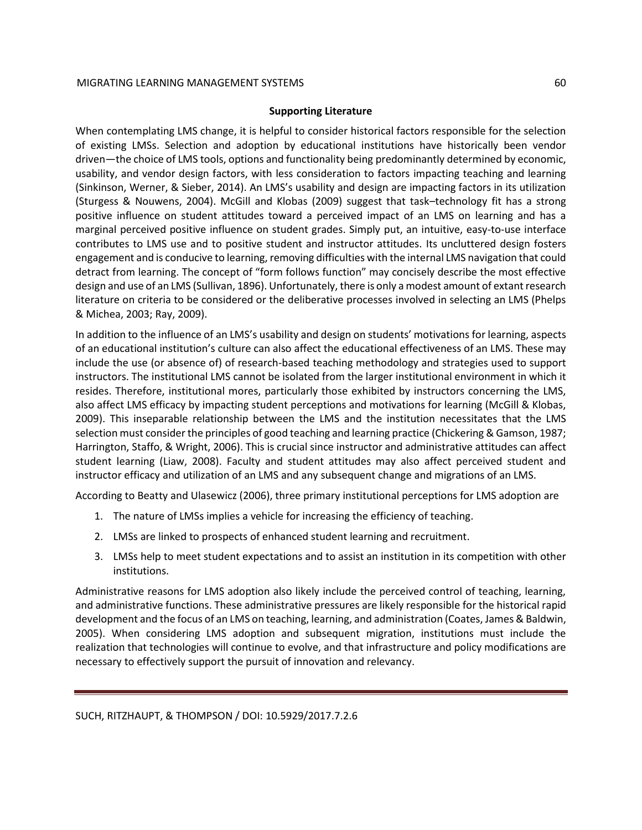# **Supporting Literature**

When contemplating LMS change, it is helpful to consider historical factors responsible for the selection of existing LMSs. Selection and adoption by educational institutions have historically been vendor driven—the choice of LMS tools, options and functionality being predominantly determined by economic, usability, and vendor design factors, with less consideration to factors impacting teaching and learning (Sinkinson, Werner, & Sieber, 2014). An LMS's usability and design are impacting factors in its utilization (Sturgess & Nouwens, 2004). McGill and Klobas (2009) suggest that task–technology fit has a strong positive influence on student attitudes toward a perceived impact of an LMS on learning and has a marginal perceived positive influence on student grades. Simply put, an intuitive, easy-to-use interface contributes to LMS use and to positive student and instructor attitudes. Its uncluttered design fosters engagement and is conducive to learning, removing difficulties with the internal LMS navigation that could detract from learning. The concept of "form follows function" may concisely describe the most effective design and use of an LMS (Sullivan, 1896). Unfortunately, there is only a modest amount of extant research literature on criteria to be considered or the deliberative processes involved in selecting an LMS (Phelps & Michea, 2003; Ray, 2009).

In addition to the influence of an LMS's usability and design on students' motivations for learning, aspects of an educational institution's culture can also affect the educational effectiveness of an LMS. These may include the use (or absence of) of research-based teaching methodology and strategies used to support instructors. The institutional LMS cannot be isolated from the larger institutional environment in which it resides. Therefore, institutional mores, particularly those exhibited by instructors concerning the LMS, also affect LMS efficacy by impacting student perceptions and motivations for learning (McGill & Klobas, 2009). This inseparable relationship between the LMS and the institution necessitates that the LMS selection must consider the principles of good teaching and learning practice (Chickering & Gamson, 1987; Harrington, Staffo, & Wright, 2006). This is crucial since instructor and administrative attitudes can affect student learning (Liaw, 2008). Faculty and student attitudes may also affect perceived student and instructor efficacy and utilization of an LMS and any subsequent change and migrations of an LMS.

According to Beatty and Ulasewicz (2006), three primary institutional perceptions for LMS adoption are

- 1. The nature of LMSs implies a vehicle for increasing the efficiency of teaching.
- 2. LMSs are linked to prospects of enhanced student learning and recruitment.
- 3. LMSs help to meet student expectations and to assist an institution in its competition with other institutions.

Administrative reasons for LMS adoption also likely include the perceived control of teaching, learning, and administrative functions. These administrative pressures are likely responsible for the historical rapid development and the focus of an LMS on teaching, learning, and administration (Coates, James & Baldwin, 2005). When considering LMS adoption and subsequent migration, institutions must include the realization that technologies will continue to evolve, and that infrastructure and policy modifications are necessary to effectively support the pursuit of innovation and relevancy.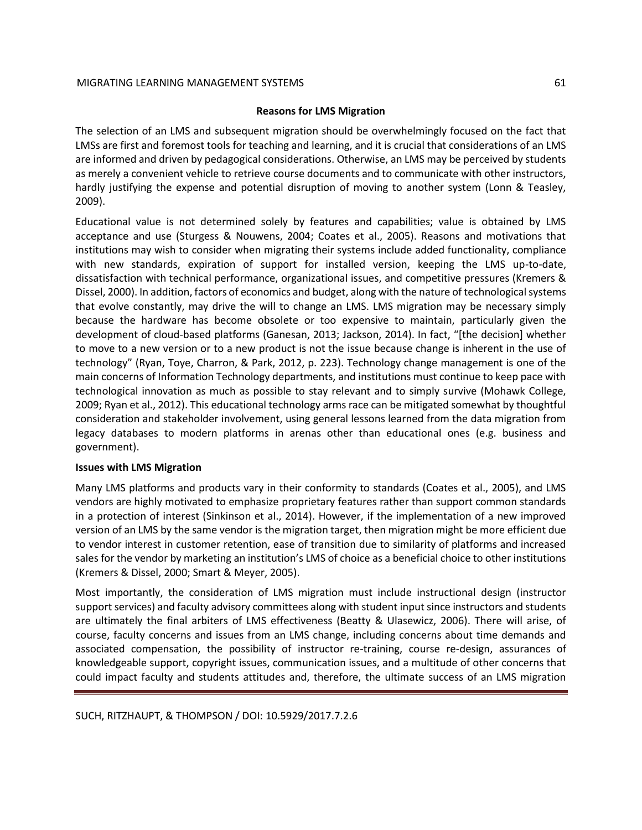# **Reasons for LMS Migration**

The selection of an LMS and subsequent migration should be overwhelmingly focused on the fact that LMSs are first and foremost tools for teaching and learning, and it is crucial that considerations of an LMS are informed and driven by pedagogical considerations. Otherwise, an LMS may be perceived by students as merely a convenient vehicle to retrieve course documents and to communicate with other instructors, hardly justifying the expense and potential disruption of moving to another system (Lonn & Teasley, 2009).

Educational value is not determined solely by features and capabilities; value is obtained by LMS acceptance and use (Sturgess & Nouwens, 2004; Coates et al., 2005). Reasons and motivations that institutions may wish to consider when migrating their systems include added functionality, compliance with new standards, expiration of support for installed version, keeping the LMS up-to-date, dissatisfaction with technical performance, organizational issues, and competitive pressures (Kremers & Dissel, 2000). In addition, factors of economics and budget, along with the nature of technological systems that evolve constantly, may drive the will to change an LMS. LMS migration may be necessary simply because the hardware has become obsolete or too expensive to maintain, particularly given the development of cloud-based platforms (Ganesan, 2013; Jackson, 2014). In fact, "[the decision] whether to move to a new version or to a new product is not the issue because change is inherent in the use of technology" (Ryan, Toye, Charron, & Park, 2012, p. 223). Technology change management is one of the main concerns of Information Technology departments, and institutions must continue to keep pace with technological innovation as much as possible to stay relevant and to simply survive (Mohawk College, 2009; Ryan et al., 2012). This educational technology arms race can be mitigated somewhat by thoughtful consideration and stakeholder involvement, using general lessons learned from the data migration from legacy databases to modern platforms in arenas other than educational ones (e.g. business and government).

# **Issues with LMS Migration**

Many LMS platforms and products vary in their conformity to standards (Coates et al., 2005), and LMS vendors are highly motivated to emphasize proprietary features rather than support common standards in a protection of interest (Sinkinson et al., 2014). However, if the implementation of a new improved version of an LMS by the same vendor is the migration target, then migration might be more efficient due to vendor interest in customer retention, ease of transition due to similarity of platforms and increased sales for the vendor by marketing an institution's LMS of choice as a beneficial choice to other institutions (Kremers & Dissel, 2000; Smart & Meyer, 2005).

Most importantly, the consideration of LMS migration must include instructional design (instructor support services) and faculty advisory committees along with student input since instructors and students are ultimately the final arbiters of LMS effectiveness (Beatty & Ulasewicz, 2006). There will arise, of course, faculty concerns and issues from an LMS change, including concerns about time demands and associated compensation, the possibility of instructor re-training, course re-design, assurances of knowledgeable support, copyright issues, communication issues, and a multitude of other concerns that could impact faculty and students attitudes and, therefore, the ultimate success of an LMS migration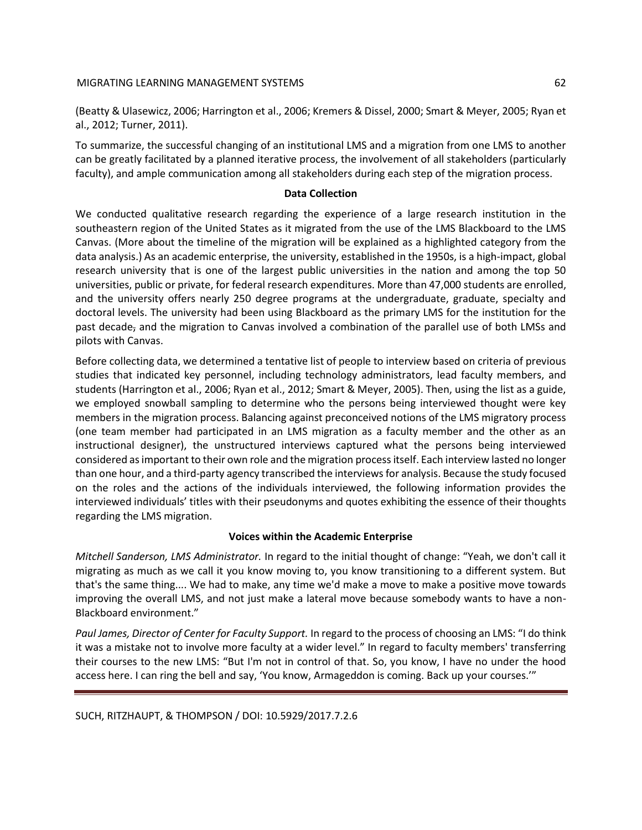(Beatty & Ulasewicz, 2006; Harrington et al., 2006; Kremers & Dissel, 2000; Smart & Meyer, 2005; Ryan et al., 2012; Turner, 2011).

To summarize, the successful changing of an institutional LMS and a migration from one LMS to another can be greatly facilitated by a planned iterative process, the involvement of all stakeholders (particularly faculty), and ample communication among all stakeholders during each step of the migration process.

# **Data Collection**

We conducted qualitative research regarding the experience of a large research institution in the southeastern region of the United States as it migrated from the use of the LMS Blackboard to the LMS Canvas. (More about the timeline of the migration will be explained as a highlighted category from the data analysis.) As an academic enterprise, the university, established in the 1950s, is a high-impact, global research university that is one of the largest public universities in the nation and among the top 50 universities, public or private, for federal research expenditures. More than 47,000 students are enrolled, and the university offers nearly 250 degree programs at the undergraduate, graduate, specialty and doctoral levels. The university had been using Blackboard as the primary LMS for the institution for the past decade, and the migration to Canvas involved a combination of the parallel use of both LMSs and pilots with Canvas.

Before collecting data, we determined a tentative list of people to interview based on criteria of previous studies that indicated key personnel, including technology administrators, lead faculty members, and students (Harrington et al., 2006; Ryan et al., 2012; Smart & Meyer, 2005). Then, using the list as a guide, we employed snowball sampling to determine who the persons being interviewed thought were key members in the migration process. Balancing against preconceived notions of the LMS migratory process (one team member had participated in an LMS migration as a faculty member and the other as an instructional designer), the unstructured interviews captured what the persons being interviewed considered as important to their own role and the migration process itself. Each interview lasted no longer than one hour, and a third-party agency transcribed the interviews for analysis. Because the study focused on the roles and the actions of the individuals interviewed, the following information provides the interviewed individuals' titles with their pseudonyms and quotes exhibiting the essence of their thoughts regarding the LMS migration.

# **Voices within the Academic Enterprise**

*Mitchell Sanderson, LMS Administrator.* In regard to the initial thought of change: "Yeah, we don't call it migrating as much as we call it you know moving to, you know transitioning to a different system. But that's the same thing.... We had to make, any time we'd make a move to make a positive move towards improving the overall LMS, and not just make a lateral move because somebody wants to have a non-Blackboard environment."

*Paul James, Director of Center for Faculty Support.* In regard to the process of choosing an LMS: "I do think it was a mistake not to involve more faculty at a wider level." In regard to faculty members' transferring their courses to the new LMS: "But I'm not in control of that. So, you know, I have no under the hood access here. I can ring the bell and say, 'You know, Armageddon is coming. Back up your courses.'"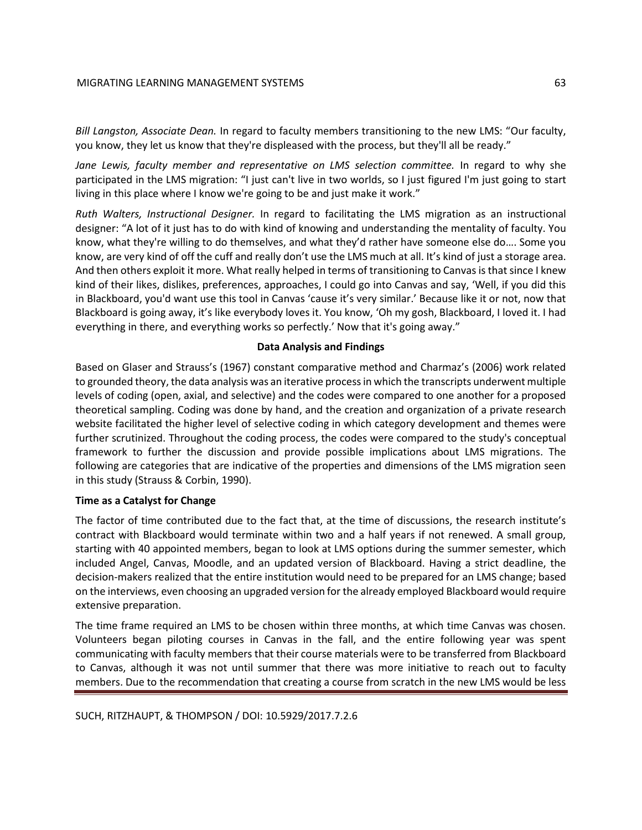*Bill Langston, Associate Dean.* In regard to faculty members transitioning to the new LMS: "Our faculty, you know, they let us know that they're displeased with the process, but they'll all be ready."

*Jane Lewis, faculty member and representative on LMS selection committee.* In regard to why she participated in the LMS migration: "I just can't live in two worlds, so I just figured I'm just going to start living in this place where I know we're going to be and just make it work."

*Ruth Walters, Instructional Designer.* In regard to facilitating the LMS migration as an instructional designer: "A lot of it just has to do with kind of knowing and understanding the mentality of faculty. You know, what they're willing to do themselves, and what they'd rather have someone else do…. Some you know, are very kind of off the cuff and really don't use the LMS much at all. It's kind of just a storage area. And then others exploit it more. What really helped in terms of transitioning to Canvas is that since I knew kind of their likes, dislikes, preferences, approaches, I could go into Canvas and say, 'Well, if you did this in Blackboard, you'd want use this tool in Canvas 'cause it's very similar.' Because like it or not, now that Blackboard is going away, it's like everybody loves it. You know, 'Oh my gosh, Blackboard, I loved it. I had everything in there, and everything works so perfectly.' Now that it's going away."

# **Data Analysis and Findings**

Based on Glaser and Strauss's (1967) constant comparative method and Charmaz's (2006) work related to grounded theory, the data analysis was an iterative process in which the transcripts underwent multiple levels of coding (open, axial, and selective) and the codes were compared to one another for a proposed theoretical sampling. Coding was done by hand, and the creation and organization of a private research website facilitated the higher level of selective coding in which category development and themes were further scrutinized. Throughout the coding process, the codes were compared to the study's conceptual framework to further the discussion and provide possible implications about LMS migrations. The following are categories that are indicative of the properties and dimensions of the LMS migration seen in this study (Strauss & Corbin, 1990).

# **Time as a Catalyst for Change**

The factor of time contributed due to the fact that, at the time of discussions, the research institute's contract with Blackboard would terminate within two and a half years if not renewed. A small group, starting with 40 appointed members, began to look at LMS options during the summer semester, which included Angel, Canvas, Moodle, and an updated version of Blackboard. Having a strict deadline, the decision-makers realized that the entire institution would need to be prepared for an LMS change; based on the interviews, even choosing an upgraded version for the already employed Blackboard would require extensive preparation.

The time frame required an LMS to be chosen within three months, at which time Canvas was chosen. Volunteers began piloting courses in Canvas in the fall, and the entire following year was spent communicating with faculty members that their course materials were to be transferred from Blackboard to Canvas, although it was not until summer that there was more initiative to reach out to faculty members. Due to the recommendation that creating a course from scratch in the new LMS would be less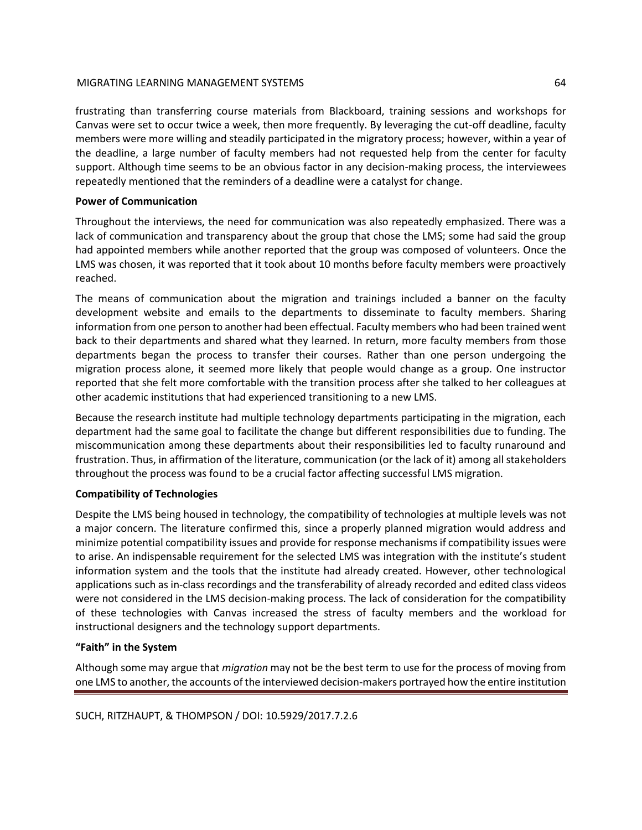frustrating than transferring course materials from Blackboard, training sessions and workshops for Canvas were set to occur twice a week, then more frequently. By leveraging the cut-off deadline, faculty members were more willing and steadily participated in the migratory process; however, within a year of the deadline, a large number of faculty members had not requested help from the center for faculty support. Although time seems to be an obvious factor in any decision-making process, the interviewees repeatedly mentioned that the reminders of a deadline were a catalyst for change.

# **Power of Communication**

Throughout the interviews, the need for communication was also repeatedly emphasized. There was a lack of communication and transparency about the group that chose the LMS; some had said the group had appointed members while another reported that the group was composed of volunteers. Once the LMS was chosen, it was reported that it took about 10 months before faculty members were proactively reached.

The means of communication about the migration and trainings included a banner on the faculty development website and emails to the departments to disseminate to faculty members. Sharing information from one person to another had been effectual. Faculty members who had been trained went back to their departments and shared what they learned. In return, more faculty members from those departments began the process to transfer their courses. Rather than one person undergoing the migration process alone, it seemed more likely that people would change as a group. One instructor reported that she felt more comfortable with the transition process after she talked to her colleagues at other academic institutions that had experienced transitioning to a new LMS.

Because the research institute had multiple technology departments participating in the migration, each department had the same goal to facilitate the change but different responsibilities due to funding. The miscommunication among these departments about their responsibilities led to faculty runaround and frustration. Thus, in affirmation of the literature, communication (or the lack of it) among all stakeholders throughout the process was found to be a crucial factor affecting successful LMS migration.

# **Compatibility of Technologies**

Despite the LMS being housed in technology, the compatibility of technologies at multiple levels was not a major concern. The literature confirmed this, since a properly planned migration would address and minimize potential compatibility issues and provide for response mechanisms if compatibility issues were to arise. An indispensable requirement for the selected LMS was integration with the institute's student information system and the tools that the institute had already created. However, other technological applications such as in-class recordings and the transferability of already recorded and edited class videos were not considered in the LMS decision-making process. The lack of consideration for the compatibility of these technologies with Canvas increased the stress of faculty members and the workload for instructional designers and the technology support departments.

# **"Faith" in the System**

Although some may argue that *migration* may not be the best term to use for the process of moving from one LMS to another, the accounts of the interviewed decision-makers portrayed how the entire institution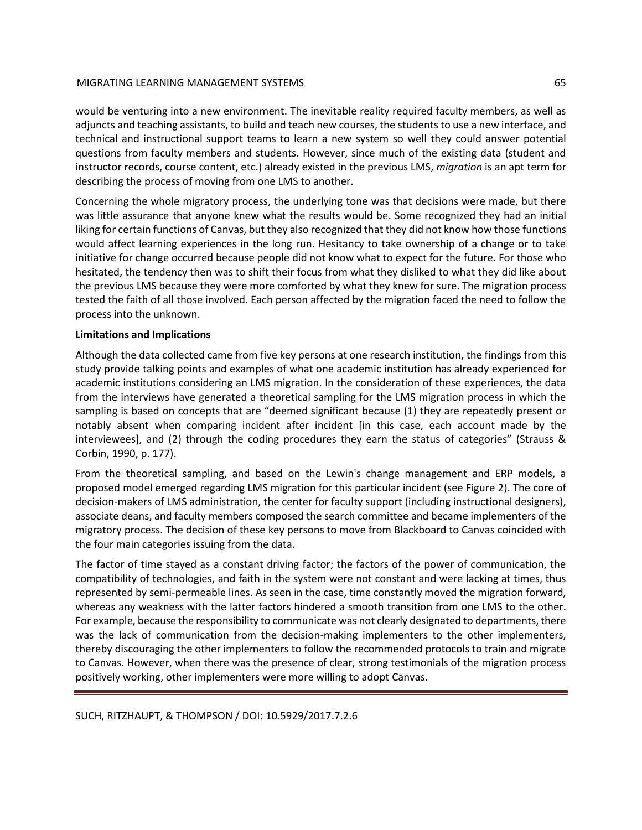would be venturing into a new environment. The inevitable reality required faculty members, as well as adjuncts and teaching assistants, to build and teach new courses, the students to use a new interface, and technical and instructional support teams to learn a new system so well they could answer potential questions from faculty members and students. However, since much of the existing data (student and instructor records, course content, etc.) already existed in the previous LMS, *migration* is an apt term for describing the process of moving from one LMS to another.

Concerning the whole migratory process, the underlying tone was that decisions were made, but there was little assurance that anyone knew what the results would be. Some recognized they had an initial liking for certain functions of Canvas, but they also recognized that they did not know how those functions would affect learning experiences in the long run. Hesitancy to take ownership of a change or to take initiative for change occurred because people did not know what to expect for the future. For those who hesitated, the tendency then was to shift their focus from what they disliked to what they did like about the previous LMS because they were more comforted by what they knew for sure. The migration process tested the faith of all those involved. Each person affected by the migration faced the need to follow the process into the unknown.

# **Limitations and Implications**

Although the data collected came from five key persons at one research institution, the findings from this study provide talking points and examples of what one academic institution has already experienced for academic institutions considering an LMS migration. In the consideration of these experiences, the data from the interviews have generated a theoretical sampling for the LMS migration process in which the sampling is based on concepts that are "deemed significant because (1) they are repeatedly present or notably absent when comparing incident after incident [in this case, each account made by the interviewees], and (2) through the coding procedures they earn the status of categories" (Strauss & Corbin, 1990, p. 177).

From the theoretical sampling, and based on the Lewin's change management and ERP models, a proposed model emerged regarding LMS migration for this particular incident (see Figure 2). The core of decision-makers of LMS administration, the center for faculty support (including instructional designers), associate deans, and faculty members composed the search committee and became implementers of the migratory process. The decision of these key persons to move from Blackboard to Canvas coincided with the four main categories issuing from the data.

The factor of time stayed as a constant driving factor; the factors of the power of communication, the compatibility of technologies, and faith in the system were not constant and were lacking at times, thus represented by semi-permeable lines. As seen in the case, time constantly moved the migration forward, whereas any weakness with the latter factors hindered a smooth transition from one LMS to the other. For example, because the responsibility to communicate was not clearly designated to departments, there was the lack of communication from the decision-making implementers to the other implementers, thereby discouraging the other implementers to follow the recommended protocols to train and migrate to Canvas. However, when there was the presence of clear, strong testimonials of the migration process positively working, other implementers were more willing to adopt Canvas.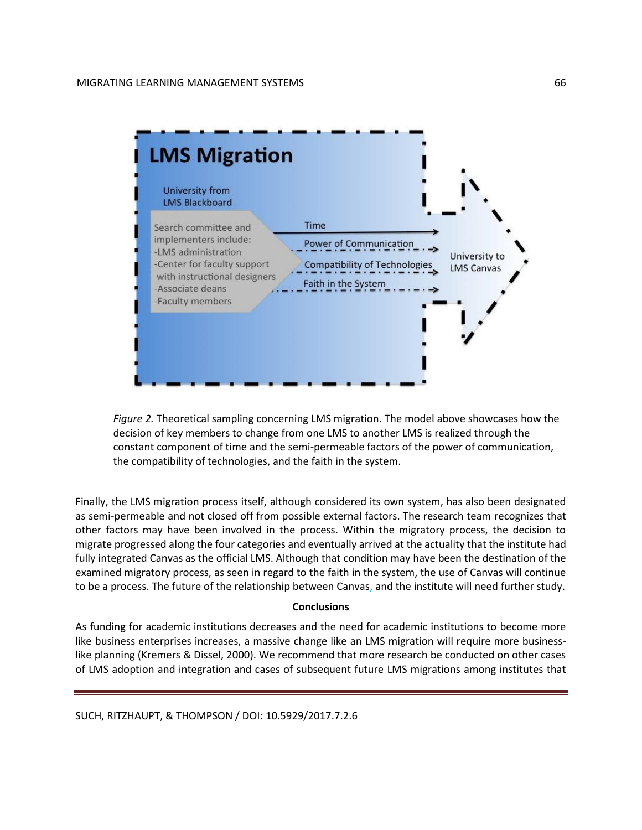

*Figure 2.* Theoretical sampling concerning LMS migration. The model above showcases how the decision of key members to change from one LMS to another LMS is realized through the constant component of time and the semi-permeable factors of the power of communication, the compatibility of technologies, and the faith in the system.

Finally, the LMS migration process itself, although considered its own system, has also been designated as semi-permeable and not closed off from possible external factors. The research team recognizes that other factors may have been involved in the process. Within the migratory process, the decision to migrate progressed along the four categories and eventually arrived at the actuality that the institute had fully integrated Canvas as the official LMS. Although that condition may have been the destination of the examined migratory process, as seen in regard to the faith in the system, the use of Canvas will continue to be a process. The future of the relationship between Canvas, and the institute will need further study.

# **Conclusions**

As funding for academic institutions decreases and the need for academic institutions to become more like business enterprises increases, a massive change like an LMS migration will require more businesslike planning (Kremers & Dissel, 2000). We recommend that more research be conducted on other cases of LMS adoption and integration and cases of subsequent future LMS migrations among institutes that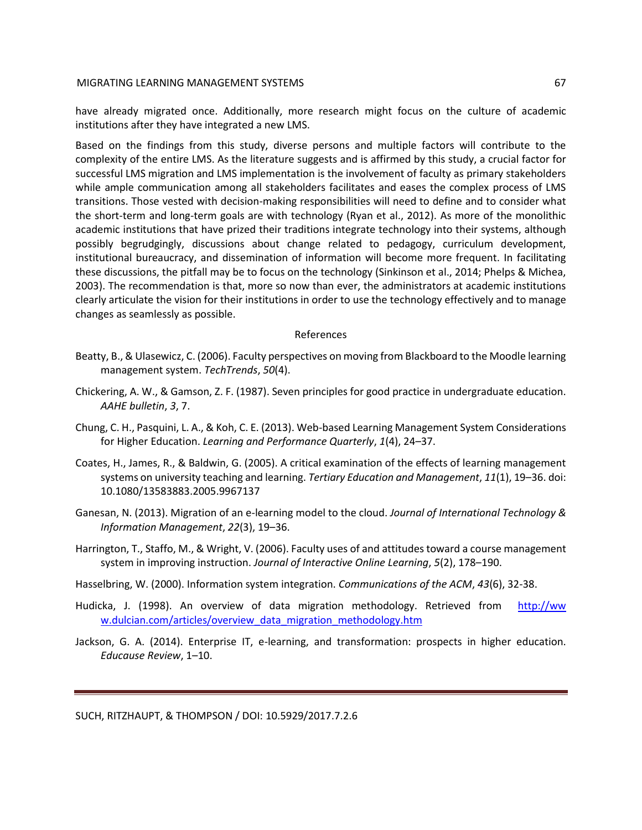have already migrated once. Additionally, more research might focus on the culture of academic institutions after they have integrated a new LMS.

Based on the findings from this study, diverse persons and multiple factors will contribute to the complexity of the entire LMS. As the literature suggests and is affirmed by this study, a crucial factor for successful LMS migration and LMS implementation is the involvement of faculty as primary stakeholders while ample communication among all stakeholders facilitates and eases the complex process of LMS transitions. Those vested with decision-making responsibilities will need to define and to consider what the short-term and long-term goals are with technology (Ryan et al., 2012). As more of the monolithic academic institutions that have prized their traditions integrate technology into their systems, although possibly begrudgingly, discussions about change related to pedagogy, curriculum development, institutional bureaucracy, and dissemination of information will become more frequent. In facilitating these discussions, the pitfall may be to focus on the technology (Sinkinson et al., 2014; Phelps & Michea, 2003). The recommendation is that, more so now than ever, the administrators at academic institutions clearly articulate the vision for their institutions in order to use the technology effectively and to manage changes as seamlessly as possible.

#### References

- Beatty, B., & Ulasewicz, C. (2006). Faculty perspectives on moving from Blackboard to the Moodle learning management system. *TechTrends*, *50*(4).
- Chickering, A. W., & Gamson, Z. F. (1987). Seven principles for good practice in undergraduate education. *AAHE bulletin*, *3*, 7.
- Chung, C. H., Pasquini, L. A., & Koh, C. E. (2013). Web-based Learning Management System Considerations for Higher Education. *Learning and Performance Quarterly*, *1*(4), 24–37.
- Coates, H., James, R., & Baldwin, G. (2005). A critical examination of the effects of learning management systems on university teaching and learning. *Tertiary Education and Management*, *11*(1), 19–36. doi: 10.1080/13583883.2005.9967137
- Ganesan, N. (2013). Migration of an e-learning model to the cloud. *Journal of International Technology & Information Management*, *22*(3), 19–36.
- Harrington, T., Staffo, M., & Wright, V. (2006). Faculty uses of and attitudes toward a course management system in improving instruction. *Journal of Interactive Online Learning*, *5*(2), 178–190.
- Hasselbring, W. (2000). Information system integration. *Communications of the ACM*, *43*(6), 32-38.
- Hudicka, J. (1998). An overview of data migration methodology. Retrieved from http://ww w.dulcian.com/articles/overview\_data\_migration\_methodology.htm
- Jackson, G. A. (2014). Enterprise IT, e-learning, and transformation: prospects in higher education. *Educause Review*, 1–10.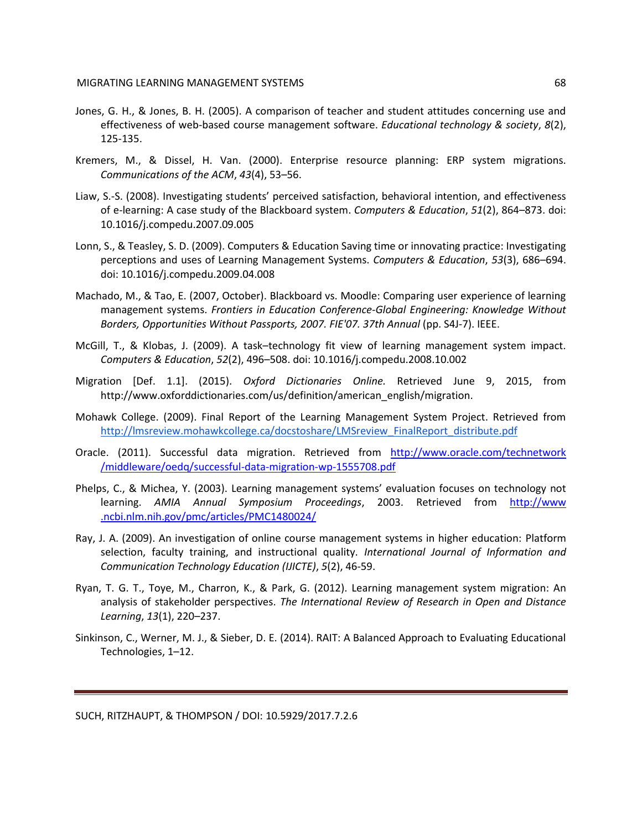- Jones, G. H., & Jones, B. H. (2005). A comparison of teacher and student attitudes concerning use and effectiveness of web-based course management software. *Educational technology & society*, *8*(2), 125-135.
- Kremers, M., & Dissel, H. Van. (2000). Enterprise resource planning: ERP system migrations. *Communications of the ACM*, *43*(4), 53–56.
- Liaw, S.-S. (2008). Investigating students' perceived satisfaction, behavioral intention, and effectiveness of e-learning: A case study of the Blackboard system. *Computers & Education*, *51*(2), 864–873. doi: 10.1016/j.compedu.2007.09.005
- Lonn, S., & Teasley, S. D. (2009). Computers & Education Saving time or innovating practice: Investigating perceptions and uses of Learning Management Systems. *Computers & Education*, *53*(3), 686–694. doi: 10.1016/j.compedu.2009.04.008
- Machado, M., & Tao, E. (2007, October). Blackboard vs. Moodle: Comparing user experience of learning management systems. *Frontiers in Education Conference-Global Engineering: Knowledge Without Borders, Opportunities Without Passports, 2007. FIE'07. 37th Annual* (pp. S4J-7). IEEE.
- McGill, T., & Klobas, J. (2009). A task–technology fit view of learning management system impact. *Computers & Education*, *52*(2), 496–508. doi: 10.1016/j.compedu.2008.10.002
- Migration [Def. 1.1]. (2015). *Oxford Dictionaries Online.* Retrieved June 9, 2015, from http://www.oxforddictionaries.com/us/definition/american\_english/migration.
- Mohawk College. (2009). Final Report of the Learning Management System Project. Retrieved from [http://lmsreview.mohawkcollege.ca/docstoshare/LMSreview\\_FinalReport\\_distribute.pdf](http://lmsreview.mohawkcollege.ca/docstoshare/LMSreview_FinalReport_distribute.pdf)
- Oracle. (2011). Successful data migration. Retrieved from [http://www.oracle.com/technetwork](http://www.oracle.com/technetwork%20/middleware/oedq/successful-data-migration-wp-1555708.pdf)  [/middleware/oedq/successful-data-migration-wp-1555708.pdf](http://www.oracle.com/technetwork%20/middleware/oedq/successful-data-migration-wp-1555708.pdf)
- Phelps, C., & Michea, Y. (2003). Learning management systems' evaluation focuses on technology not learning. *AMIA Annual Symposium Proceedings*, 2003. Retrieved from http://www .ncbi.nlm.nih.gov/pmc/articles/PMC1480024/
- Ray, J. A. (2009). An investigation of online course management systems in higher education: Platform selection, faculty training, and instructional quality. *International Journal of Information and Communication Technology Education (IJICTE)*, *5*(2), 46-59.
- Ryan, T. G. T., Toye, M., Charron, K., & Park, G. (2012). Learning management system migration: An analysis of stakeholder perspectives. *The International Review of Research in Open and Distance Learning*, *13*(1), 220–237.
- Sinkinson, C., Werner, M. J., & Sieber, D. E. (2014). RAIT: A Balanced Approach to Evaluating Educational Technologies, 1–12.